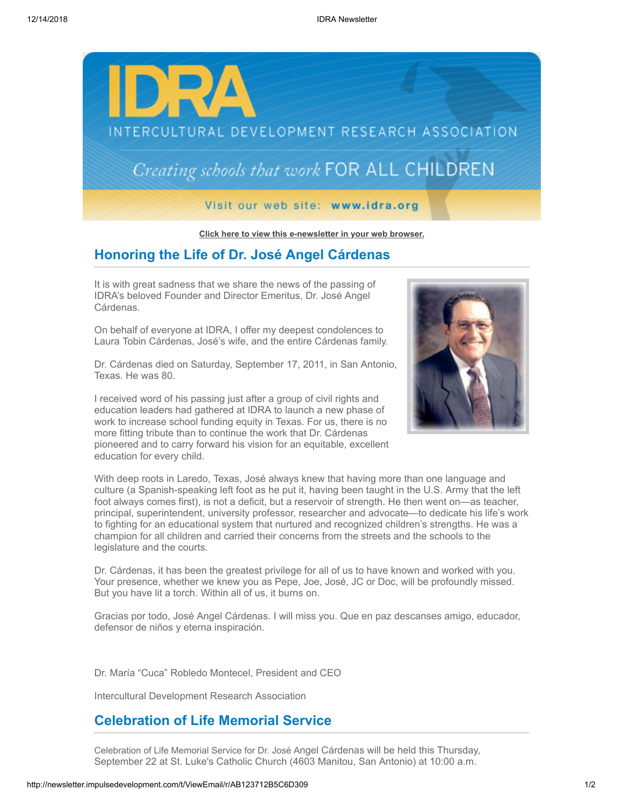

**[Click here to view this e-newsletter in your web browser.](http://newsletter.impulsedevelopment.com/t/r-e-tdehid-l-r/)**

## **Honoring the Life of Dr. José Angel Cárdenas**

It is with great sadness that we share the news of the passing of IDRA's beloved Founder and Director Emeritus, Dr. José Angel Cárdenas.

On behalf of everyone at IDRA, I offer my deepest condolences to Laura Tobin Cárdenas, José's wife, and the entire Cárdenas family.

Dr. Cárdenas died on Saturday, September 17, 2011, in San Antonio, Texas. He was 80.

I received word of his passing just after a group of civil rights and education leaders had gathered at IDRA to launch a new phase of work to increase school funding equity in Texas. For us, there is no more fitting tribute than to continue the work that Dr. Cárdenas pioneered and to carry forward his vision for an equitable, excellent education for every child.



With deep roots in Laredo, Texas, José always knew that having more than one language and culture (a Spanish-speaking left foot as he put it, having been taught in the U.S. Army that the left foot always comes first), is not a deficit, but a reservoir of strength. He then went on—as teacher, principal, superintendent, university professor, researcher and advocate—to dedicate his life's work to fighting for an educational system that nurtured and recognized children's strengths. He was a champion for all children and carried their concerns from the streets and the schools to the legislature and the courts.

Dr. Cárdenas, it has been the greatest privilege for all of us to have known and worked with you. Your presence, whether we knew you as Pepe, Joe, José, JC or Doc, will be profoundly missed. But you have lit a torch. Within all of us, it burns on.

Gracias por todo, José Angel Cárdenas. I will miss you. Que en paz descanses amigo, educador, defensor de niños y eterna inspiración.

Dr. María "Cuca" Robledo Montecel, President and CEO

Intercultural Development Research Association

## **Celebration of Life Memorial Service**

Celebration of Life Memorial Service for Dr. José Angel Cárdenas will be held this Thursday, September 22 at St. Luke's Catholic Church (4603 Manitou, San Antonio) at 10:00 a.m.